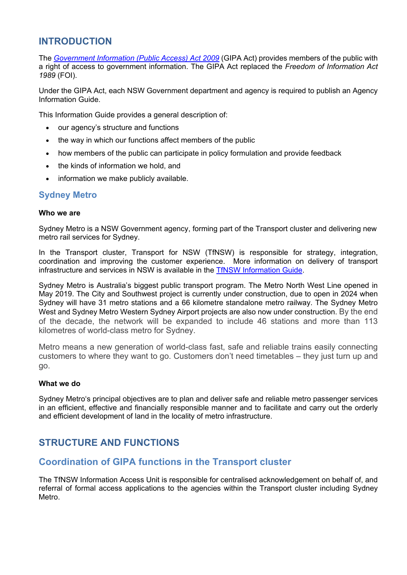# **INTRODUCTION**

The *[Government Information \(Public Access\) Act 2009](https://www.legislation.nsw.gov.au/view/html/inforce/current/act-2009-052)* (GIPA Act) provides members of the public with a right of access to government information. The GIPA Act replaced the *Freedom of Information Act 1989* (FOI).

Under the GIPA Act, each NSW Government department and agency is required to publish an Agency Information Guide.

This Information Guide provides a general description of:

- our agency's structure and functions
- the way in which our functions affect members of the public
- how members of the public can participate in policy formulation and provide feedback
- the kinds of information we hold, and
- information we make publicly available.

### **Sydney Metro**

#### **Who we are**

Sydney Metro is a NSW Government agency, forming part of the Transport cluster and delivering new metro rail services for Sydney.

In the Transport cluster, Transport for NSW (TfNSW) is responsible for strategy, integration, coordination and improving the customer experience. More information on delivery of transport infrastructure and services in NSW is available in the [TfNSW Information Guide.](https://www.transport.nsw.gov.au/about-us/access-to-information/information-guide)

Sydney Metro is Australia's biggest public transport program. The Metro North West Line opened in May 2019. The City and Southwest project is currently under construction, due to open in 2024 when Sydney will have 31 metro stations and a 66 kilometre standalone metro railway. The Sydney Metro West and Sydney Metro Western Sydney Airport projects are also now under construction. By the end of the decade, the network will be expanded to include 46 stations and more than 113 kilometres of world-class metro for Sydney.

Metro means a new generation of world-class fast, safe and reliable trains easily connecting customers to where they want to go. Customers don't need timetables – they just turn up and go.

#### **What we do**

Sydney Metro's principal objectives are to plan and deliver safe and reliable metro passenger services in an efficient, effective and financially responsible manner and to facilitate and carry out the orderly and efficient development of land in the locality of metro infrastructure.

# **STRUCTURE AND FUNCTIONS**

## **Coordination of GIPA functions in the Transport cluster**

The TfNSW Information Access Unit is responsible for centralised acknowledgement on behalf of, and referral of formal access applications to the agencies within the Transport cluster including Sydney Metro.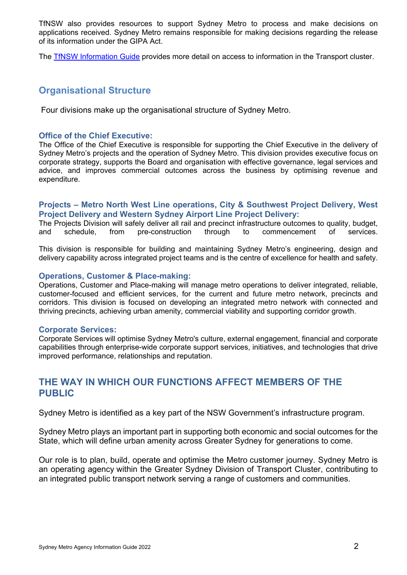TfNSW also provides resources to support Sydney Metro to process and make decisions on applications received. Sydney Metro remains responsible for making decisions regarding the release of its information under the GIPA Act.

The [TfNSW Information Guide](https://www.transport.nsw.gov.au/about-us/access-to-information/information-guide) provides more detail on access to information in the Transport cluster.

# **Organisational Structure**

Four divisions make up the organisational structure of Sydney Metro.

### **Office of the Chief Executive:**

The Office of the Chief Executive is responsible for supporting the Chief Executive in the delivery of Sydney Metro's projects and the operation of Sydney Metro. This division provides executive focus on corporate strategy, supports the Board and organisation with effective governance, legal services and advice, and improves commercial outcomes across the business by optimising revenue and expenditure.

### **Projects – Metro North West Line operations, City & Southwest Project Delivery, West Project Delivery and Western Sydney Airport Line Project Delivery:**

The Projects Division will safely deliver all rail and precinct infrastructure outcomes to quality, budget, and schedule, from pre-construction through to commencement of services.

This division is responsible for building and maintaining Sydney Metro's engineering, design and delivery capability across integrated project teams and is the centre of excellence for health and safety.

#### **Operations, Customer & Place-making:**

Operations, Customer and Place-making will manage metro operations to deliver integrated, reliable, customer-focused and efficient services, for the current and future metro network, precincts and corridors. This division is focused on developing an integrated metro network with connected and thriving precincts, achieving urban amenity, commercial viability and supporting corridor growth.

#### **Corporate Services:**

Corporate Services will optimise Sydney Metro's culture, external engagement, financial and corporate capabilities through enterprise-wide corporate support services, initiatives, and technologies that drive improved performance, relationships and reputation.

# **THE WAY IN WHICH OUR FUNCTIONS AFFECT MEMBERS OF THE PUBLIC**

Sydney Metro is identified as a key part of the NSW Government's infrastructure program.

Sydney Metro plays an important part in supporting both economic and social outcomes for the State, which will define urban amenity across Greater Sydney for generations to come.

Our role is to plan, build, operate and optimise the Metro customer journey. Sydney Metro is an operating agency within the Greater Sydney Division of Transport Cluster, contributing to an integrated public transport network serving a range of customers and communities.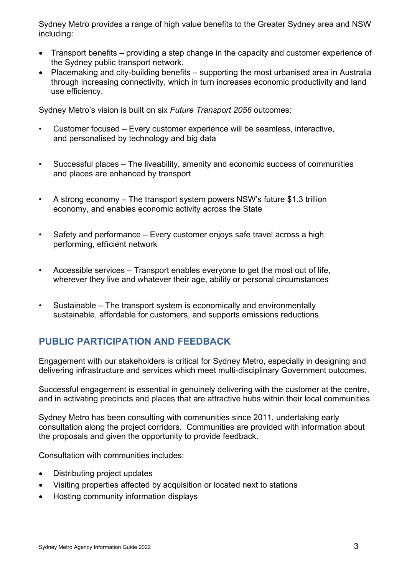Sydney Metro provides a range of high value benefits to the Greater Sydney area and NSW including:

- Transport benefits providing a step change in the capacity and customer experience of the Sydney public transport network.
- Placemaking and city-building benefits supporting the most urbanised area in Australia through increasing connectivity, which in turn increases economic productivity and land use efficiency.

Sydney Metro's vision is built on six *Future Transport 2056* outcomes:

- Customer focused Every customer experience will be seamless, interactive, and personalised by technology and big data
- Successful places The liveability, amenity and economic success of communities and places are enhanced by transport
- A strong economy The transport system powers NSW's future \$1.3 trillion economy, and enables economic activity across the State
- Safety and performance Every customer enjoys safe travel across a high performing, efficient network
- Accessible services Transport enables everyone to get the most out of life, wherever they live and whatever their age, ability or personal circumstances
- Sustainable The transport system is economically and environmentally sustainable, affordable for customers, and supports emissions reductions

# **PUBLIC PARTICIPATION AND FEEDBACK**

Engagement with our stakeholders is critical for Sydney Metro, especially in designing and delivering infrastructure and services which meet multi-disciplinary Government outcomes.

Successful engagement is essential in genuinely delivering with the customer at the centre, and in activating precincts and places that are attractive hubs within their local communities.

Sydney Metro has been consulting with communities since 2011, undertaking early consultation along the project corridors. Communities are provided with information about the proposals and given the opportunity to provide feedback.

Consultation with communities includes:

- Distributing project updates
- Visiting properties affected by acquisition or located next to stations
- Hosting community information displays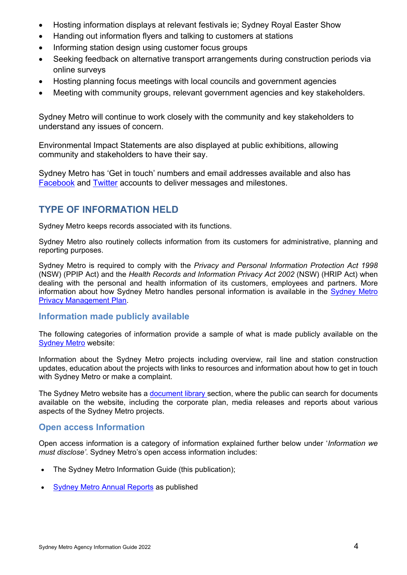- Hosting information displays at relevant festivals ie; Sydney Royal Easter Show
- Handing out information flyers and talking to customers at stations
- Informing station design using customer focus groups
- Seeking feedback on alternative transport arrangements during construction periods via online surveys
- Hosting planning focus meetings with local councils and government agencies
- Meeting with community groups, relevant government agencies and key stakeholders.

Sydney Metro will continue to work closely with the community and key stakeholders to understand any issues of concern.

Environmental Impact Statements are also displayed at public exhibitions, allowing community and stakeholders to have their say.

Sydney Metro has 'Get in touch' numbers and email addresses available and also has [Facebook](https://www.facebook.com/SydneyMetro/) and [Twitter](https://twitter.com/sydneymetro?lang=en) accounts to deliver messages and milestones.

# **TYPE OF INFORMATION HELD**

Sydney Metro keeps records associated with its functions.

Sydney Metro also routinely collects information from its customers for administrative, planning and reporting purposes.

Sydney Metro is required to comply with the *Privacy and Personal Information Protection Act 1998* (NSW) (PPIP Act) and the *Health Records and Information Privacy Act 2002* (NSW) (HRIP Act) when dealing with the personal and health information of its customers, employees and partners. More information about how [Sydney Metro](https://www.sydneymetro.info/privacy-policy) handles personal information is available in the Sydney Metro [Privacy Management Plan.](https://www.sydneymetro.info/privacy-policy)

### **Information made publicly available**

The following categories of information provide a sample of what is made publicly available on the [Sydney Metro](https://www.sydneymetro.info/) website:

Information about the Sydney Metro projects including overview, rail line and station construction updates, education about the projects with links to resources and information about how to get in touch with Sydney Metro or make a complaint.

The Sydney Metro website has a [document library s](https://www.sydneymetro.info/documents)ection, where the public can search for documents available on the website, including the corporate plan, media releases and reports about various aspects of the Sydney Metro projects.

### **Open access Information**

Open access information is a category of information explained further below under '*Information we must disclose'*. Sydney Metro's open access information includes:

- The Sydney Metro Information Guide (this publication);
- [Sydney Metro Annual Reports](https://www.sydneymetro.info/documents) as published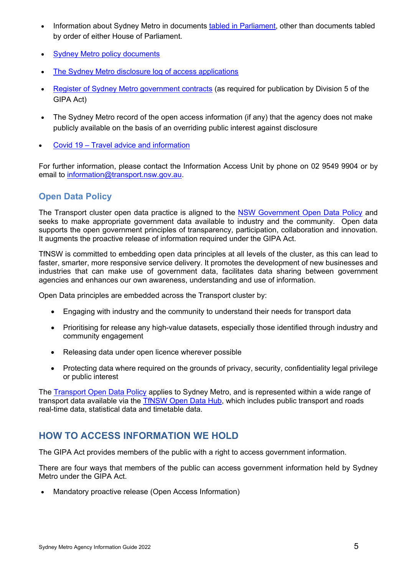- Information about Sydney Metro in documents [tabled in Parliament,](https://www.sydneymetro.info/documents) other than documents tabled by order of either House of Parliament.
- [Sydney Metro policy documents](https://www.sydneymetro.info/documents)
- [The Sydney Metro disclosure log of access applications](https://www.sydneymetro.info/access-information)
- [Register of Sydney Metro government contracts](https://www.transport.nsw.gov.au/industry/contracts-awarded#Sydney_Metro) (as required for publication by Division 5 of the GIPA Act)
- The Sydney Metro record of the open access information (if any) that the agency does not make publicly available on the basis of an overriding public interest against disclosure
- Covid 19 [Travel advice and information](https://transportnsw.info/covid-19)

For further information, please contact the Information Access Unit by phone on 02 9549 9904 or by email to [information@transport.nsw.gov.au.](mailto:information@transport.nsw.gov.au)

# **Open Data Policy**

The Transport cluster open data practice is aligned to the [NSW Government Open Data Policy](htthttps://data.nsw.gov.au/nsw-government-open-data-policy) and seeks to make appropriate government data available to industry and the community. Open data supports the open government principles of transparency, participation, collaboration and innovation. It augments the proactive release of information required under the GIPA Act.

TfNSW is committed to embedding open data principles at all levels of the cluster, as this can lead to faster, smarter, more responsive service delivery. It promotes the development of new businesses and industries that can make use of government data, facilitates data sharing between government agencies and enhances our own awareness, understanding and use of information.

Open Data principles are embedded across the Transport cluster by:

- Engaging with industry and the community to understand their needs for transport data
- Prioritising for release any high-value datasets, especially those identified through industry and community engagement
- Releasing data under open licence wherever possible
- Protecting data where required on the grounds of privacy, security, confidentiality legal privilege or public interest

The [Transport Open Data Policy](https://www.transport.nsw.gov.au/about-us/access-to-information/policy-documents) applies to Sydney Metro, and is represented within a wide range of transport data available via the [TfNSW Open Data Hub,](https://opendata.transport.nsw.gov.au/) which includes public transport and roads real-time data, statistical data and timetable data.

# **HOW TO ACCESS INFORMATION WE HOLD**

The GIPA Act provides members of the public with a right to access government information.

There are four ways that members of the public can access government information held by Sydney Metro under the GIPA Act.

• Mandatory proactive release (Open Access Information)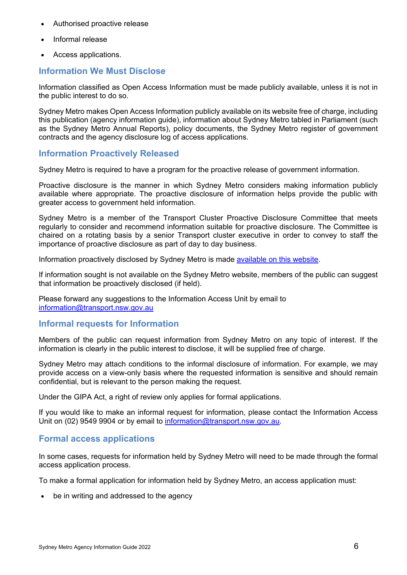- Authorised proactive release
- Informal release
- Access applications.

### **Information We Must Disclose**

Information classified as Open Access Information must be made publicly available, unless it is not in the public interest to do so.

Sydney Metro makes Open Access Information publicly available on its website free of charge, including this publication (agency information guide), information about Sydney Metro tabled in Parliament (such as the Sydney Metro Annual Reports), policy documents, the Sydney Metro register of government contracts and the agency disclosure log of access applications.

### **Information Proactively Released**

Sydney Metro is required to have a program for the proactive release of government information.

Proactive disclosure is the manner in which Sydney Metro considers making information publicly available where appropriate. The proactive disclosure of information helps provide the public with greater access to government held information.

Sydney Metro is a member of the Transport Cluster Proactive Disclosure Committee that meets regularly to consider and recommend information suitable for proactive disclosure. The Committee is chaired on a rotating basis by a senior Transport cluster executive in order to convey to staff the importance of proactive disclosure as part of day to day business.

Information proactively disclosed by Sydney Metro is made [available on this website.](https://www.sydneymetro.info/documents)

If information sought is not available on the Sydney Metro website, members of the public can suggest that information be proactively disclosed (if held).

Please forward any suggestions to the Information Access Unit by email to [information@transport.nsw.gov.au](mailto:information@transport.nsw.gov.au)

### **Informal requests for Information**

Members of the public can request information from Sydney Metro on any topic of interest. If the information is clearly in the public interest to disclose, it will be supplied free of charge.

Sydney Metro may attach conditions to the informal disclosure of information. For example, we may provide access on a view-only basis where the requested information is sensitive and should remain confidential, but is relevant to the person making the request.

Under the GIPA Act, a right of review only applies for formal applications.

If you would like to make an informal request for information, please contact the Information Access Unit on (02) 9549 9904 or by email to [information@transport.nsw.gov.au.](mailto:information@transport.nsw.gov.au)

## **Formal access applications**

In some cases, requests for information held by Sydney Metro will need to be made through the formal access application process.

To make a formal application for information held by Sydney Metro, an access application must:

• be in writing and addressed to the agency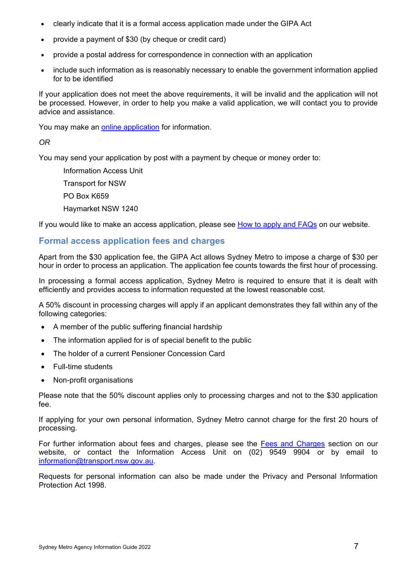- clearly indicate that it is a formal access application made under the GIPA Act
- provide a payment of \$30 (by cheque or credit card)
- provide a postal address for correspondence in connection with an application
- include such information as is reasonably necessary to enable the government information applied for to be identified

If your application does not meet the above requirements, it will be invalid and the application will not be processed. However, in order to help you make a valid application, we will contact you to provide advice and assistance.

You may make an [online application](https://www.transport.nsw.gov.au/about-us/access-to-information/access-application) for information.

### *OR*

You may send your application by post with a payment by cheque or money order to:

Information Access Unit

Transport for NSW

PO Box K659

Haymarket NSW 1240

If you would like to make an access application, please see [How to apply and FAQs](https://www.transport.nsw.gov.au/about-us/access-to-information#How_to_apply_and_FAQs) on our website.

## **Formal access application fees and charges**

Apart from the \$30 application fee, the GIPA Act allows Sydney Metro to impose a charge of \$30 per hour in order to process an application. The application fee counts towards the first hour of processing.

In processing a formal access application, Sydney Metro is required to ensure that it is dealt with efficiently and provides access to information requested at the lowest reasonable cost.

A 50% discount in processing charges will apply if an applicant demonstrates they fall within any of the following categories:

- A member of the public suffering financial hardship
- The information applied for is of special benefit to the public
- The holder of a current Pensioner Concession Card
- Full-time students
- Non-profit organisations

Please note that the 50% discount applies only to processing charges and not to the \$30 application fee.

If applying for your own personal information, Sydney Metro cannot charge for the first 20 hours of processing.

For further information about fees and charges, please see the [Fees and Charges](https://www.transport.nsw.gov.au/about-us/access-to-information#Fees_and_charges) section on our website, or contact the Information Access Unit on (02) 9549 9904 or by email to [information@transport.nsw.gov.au.](mailto:information@transport.nsw.gov.au)

Requests for personal information can also be made under the Privacy and Personal Information Protection Act 1998.